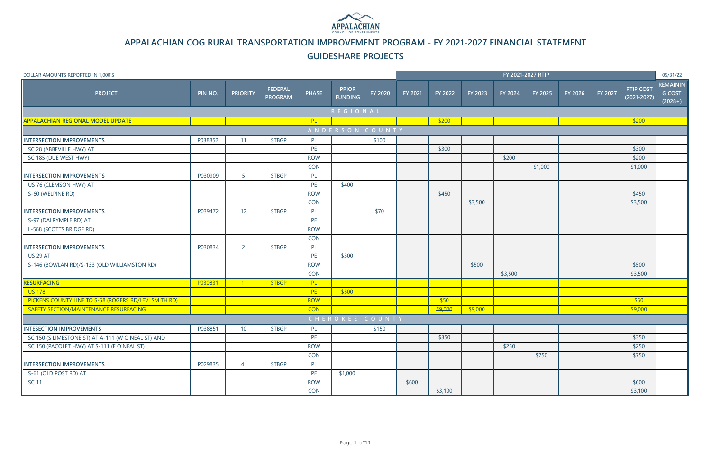| DOLLAR AMOUNTS REPORTED IN 1,000'S                    |         |                 |                                  |              |                                |                     |         |         |         | FY 2021-2027 RTIP |         |         |         |                                     | 05/31/22                                      |
|-------------------------------------------------------|---------|-----------------|----------------------------------|--------------|--------------------------------|---------------------|---------|---------|---------|-------------------|---------|---------|---------|-------------------------------------|-----------------------------------------------|
| <b>PROJECT</b>                                        | PIN NO. | <b>PRIORITY</b> | <b>FEDERAL</b><br><b>PROGRAM</b> | <b>PHASE</b> | <b>PRIOR</b><br><b>FUNDING</b> | FY 2020             | FY 2021 | FY 2022 | FY 2023 | FY 2024           | FY 2025 | FY 2026 | FY 2027 | <b>RTIP COST</b><br>$(2021 - 2027)$ | <b>REMAININ</b><br><b>G COST</b><br>$(2028+)$ |
|                                                       |         |                 |                                  |              | REGIONAL                       |                     |         |         |         |                   |         |         |         |                                     |                                               |
| <b>APPALACHIAN REGIONAL MODEL UPDATE</b>              |         |                 |                                  | PL           |                                |                     |         | \$200   |         |                   |         |         |         | \$200                               |                                               |
|                                                       |         |                 |                                  |              | ANDERSON COUNTY                |                     |         |         |         |                   |         |         |         |                                     |                                               |
| <b>INTERSECTION IMPROVEMENTS</b>                      | P038852 | 11              | <b>STBGP</b>                     | PL           |                                | \$100               |         |         |         |                   |         |         |         |                                     |                                               |
| SC 28 (ABBEVILLE HWY) AT                              |         |                 |                                  | PE           |                                |                     |         | \$300   |         |                   |         |         |         | \$300                               |                                               |
| SC 185 (DUE WEST HWY)                                 |         |                 |                                  | <b>ROW</b>   |                                |                     |         |         |         | \$200             |         |         |         | \$200                               |                                               |
|                                                       |         |                 |                                  | <b>CON</b>   |                                |                     |         |         |         |                   | \$1,000 |         |         | \$1,000                             |                                               |
| <b>INTERSECTION IMPROVEMENTS</b>                      | P030909 | 5 <sup>1</sup>  | <b>STBGP</b>                     | PL           |                                |                     |         |         |         |                   |         |         |         |                                     |                                               |
| US 76 (CLEMSON HWY) AT                                |         |                 |                                  | PE           | \$400                          |                     |         |         |         |                   |         |         |         |                                     |                                               |
| S-60 (WELPINE RD)                                     |         |                 |                                  | <b>ROW</b>   |                                |                     |         | \$450   |         |                   |         |         |         | \$450                               |                                               |
|                                                       |         |                 |                                  | CON          |                                |                     |         |         | \$3,500 |                   |         |         |         | \$3,500                             |                                               |
| <b>INTERSECTION IMPROVEMENTS</b>                      | P039472 | 12              | <b>STBGP</b>                     | PL           |                                | \$70                |         |         |         |                   |         |         |         |                                     |                                               |
| S-97 (DALRYMPLE RD) AT                                |         |                 |                                  | PE           |                                |                     |         |         |         |                   |         |         |         |                                     |                                               |
| L-568 (SCOTTS BRIDGE RD)                              |         |                 |                                  | <b>ROW</b>   |                                |                     |         |         |         |                   |         |         |         |                                     |                                               |
|                                                       |         |                 |                                  | <b>CON</b>   |                                |                     |         |         |         |                   |         |         |         |                                     |                                               |
| <b>INTERSECTION IMPROVEMENTS</b>                      | P030834 | $\overline{2}$  | <b>STBGP</b>                     | PL           |                                |                     |         |         |         |                   |         |         |         |                                     |                                               |
| <b>US 29 AT</b>                                       |         |                 |                                  | PE           | \$300                          |                     |         |         |         |                   |         |         |         |                                     |                                               |
| S-146 (BOWLAN RD)/S-133 (OLD WILLIAMSTON RD)          |         |                 |                                  | <b>ROW</b>   |                                |                     |         |         | \$500   |                   |         |         |         | \$500                               |                                               |
|                                                       |         |                 |                                  | <b>CON</b>   |                                |                     |         |         |         | \$3,500           |         |         |         | \$3,500                             |                                               |
| <b>RESURFACING</b>                                    | P030831 | $\sqrt{1}$      | <b>STBGP</b>                     | PL           |                                |                     |         |         |         |                   |         |         |         |                                     |                                               |
| <b>US 178</b>                                         |         |                 |                                  | PE           | \$500                          |                     |         |         |         |                   |         |         |         |                                     |                                               |
| PICKENS COUNTY LINE TO S-58 (ROGERS RD/LEVI SMITH RD) |         |                 |                                  | <b>ROW</b>   |                                |                     |         | \$50    |         |                   |         |         |         | \$50                                |                                               |
| SAFETY SECTION/MAINTENANCE RESURFACING                |         |                 |                                  | <b>CON</b>   |                                |                     |         | \$9,000 | \$9,000 |                   |         |         |         | \$9,000                             |                                               |
|                                                       |         |                 |                                  |              | CHEROKEE COUNTY                |                     |         |         |         |                   |         |         |         |                                     |                                               |
| INTESECTION IMPROVEMENTS                              | P038851 | 10              | <b>STBGP</b>                     | PL           |                                | $\frac{1}{2}$ \$150 |         |         |         |                   |         |         |         |                                     |                                               |
| SC 150 (S LIMESTONE ST) AT A-111 (W O'NEAL ST) AND    |         |                 |                                  | PE           |                                |                     |         | \$350   |         |                   |         |         |         | \$350                               |                                               |
| SC 150 (PACOLET HWY) AT S-111 (E O'NEAL ST)           |         |                 |                                  | <b>ROW</b>   |                                |                     |         |         |         | \$250             |         |         |         | \$250                               |                                               |
|                                                       |         |                 |                                  | CON          |                                |                     |         |         |         |                   | \$750   |         |         | \$750                               |                                               |
| INTERSECTION IMPROVEMENTS                             | P029835 | $\overline{4}$  | <b>STBGP</b>                     | PL           |                                |                     |         |         |         |                   |         |         |         |                                     |                                               |
| S-61 (OLD POST RD) AT                                 |         |                 |                                  | PE           | \$1,000                        |                     |         |         |         |                   |         |         |         |                                     |                                               |
| SC 11                                                 |         |                 |                                  | <b>ROW</b>   |                                |                     | \$600   |         |         |                   |         |         |         | \$600                               |                                               |
|                                                       |         |                 |                                  | CON          |                                |                     |         | \$3,100 |         |                   |         |         |         | \$3,100                             |                                               |



**APPALACHIAN COG RURAL TRANSPORTATION IMPROVEMENT PROGRAM - FY 2021-2027 FINANCIAL STATEMENT**

### **GUIDESHARE PROJECTS**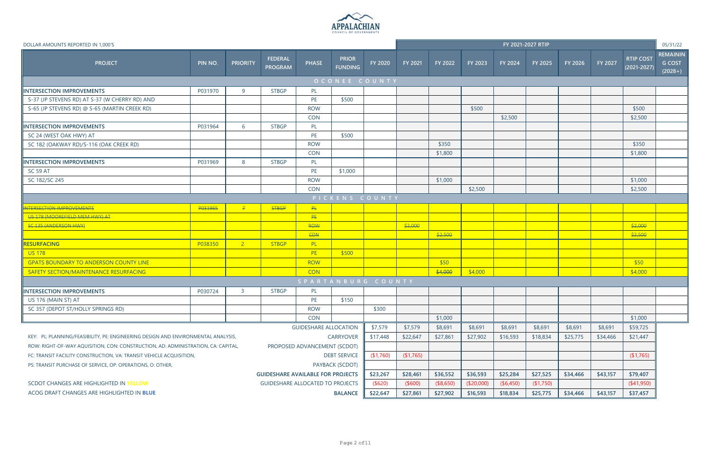

| DOLLAR AMOUNTS REPORTED IN 1,000'S                                                |               |                                                                                  |                                  |                              |                                |          |           |           |                |           | FY 2021-2027 RTIP |          |          |                                     | 05/31/22                                      |
|-----------------------------------------------------------------------------------|---------------|----------------------------------------------------------------------------------|----------------------------------|------------------------------|--------------------------------|----------|-----------|-----------|----------------|-----------|-------------------|----------|----------|-------------------------------------|-----------------------------------------------|
| <b>PROJECT</b>                                                                    | <b>PIN NO</b> | <b>PRIORITY</b>                                                                  | <b>FEDERAL</b><br><b>PROGRAM</b> | <b>PHASE</b>                 | <b>PRIOR</b><br><b>FUNDING</b> | FY 2020  | FY 2021   | FY 2022   | <b>FY 2023</b> | FY 2024   | FY 2025           | FY 2026  | FY 2027  | <b>RTIP COST</b><br>$(2021 - 2027)$ | <b>REMAININ</b><br><b>G COST</b><br>$(2028+)$ |
|                                                                                   |               |                                                                                  |                                  |                              | OCONEE COUNTY                  |          |           |           |                |           |                   |          |          |                                     |                                               |
| INTERSECTION IMPROVEMENTS                                                         | P031970       | 9                                                                                | <b>STBGP</b>                     | PL                           |                                |          |           |           |                |           |                   |          |          |                                     |                                               |
| S-37 (JP STEVENS RD) AT S-37 (W CHERRY RD) AND                                    |               |                                                                                  |                                  | PE                           | \$500                          |          |           |           |                |           |                   |          |          |                                     |                                               |
| S-65 (JP STEVENS RD) @ S-65 (MARTIN CREEK RD)                                     |               |                                                                                  |                                  | <b>ROW</b>                   |                                |          |           |           | \$500          |           |                   |          |          | \$500                               |                                               |
|                                                                                   |               |                                                                                  |                                  | <b>CON</b>                   |                                |          |           |           |                | \$2,500   |                   |          |          | \$2,500                             |                                               |
| <b>INTERSECTION IMPROVEMENTS</b>                                                  | P031964       | 6                                                                                | <b>STBGP</b>                     | PL                           |                                |          |           |           |                |           |                   |          |          |                                     |                                               |
| SC 24 (WEST OAK HWY) AT                                                           |               |                                                                                  |                                  | PE                           | \$500                          |          |           |           |                |           |                   |          |          |                                     |                                               |
| SC 182 (OAKWAY RD)/S-116 (OAK CREEK RD)                                           |               |                                                                                  |                                  | <b>ROW</b>                   |                                |          |           | \$350     |                |           |                   |          |          | \$350                               |                                               |
|                                                                                   |               |                                                                                  |                                  | <b>CON</b>                   |                                |          |           | \$1,800   |                |           |                   |          |          | \$1,800                             |                                               |
| INTERSECTION IMPROVEMENTS                                                         | P031969       | 8                                                                                | <b>STBGP</b>                     | PL                           |                                |          |           |           |                |           |                   |          |          |                                     |                                               |
| <b>SC 59 AT</b>                                                                   |               |                                                                                  |                                  | PE                           | \$1,000                        |          |           |           |                |           |                   |          |          |                                     |                                               |
| SC 182/SC 245                                                                     |               |                                                                                  |                                  | <b>ROW</b>                   |                                |          |           | \$1,000   |                |           |                   |          |          | \$1,000                             |                                               |
|                                                                                   |               |                                                                                  |                                  | <b>CON</b>                   |                                |          |           |           | \$2,500        |           |                   |          |          | \$2,500                             |                                               |
|                                                                                   |               |                                                                                  |                                  |                              | PICKENS COUNTY                 |          |           |           |                |           |                   |          |          |                                     |                                               |
| <b>ITERSECTION IMPROVEMENTS</b>                                                   | P031965       | $7 -$                                                                            | <b>STBGP</b>                     | PL                           |                                |          |           |           |                |           |                   |          |          |                                     |                                               |
| US 178 (MOOREFIELD MEM HWY) AT                                                    |               |                                                                                  |                                  | <b>PE</b>                    |                                |          |           |           |                |           |                   |          |          |                                     |                                               |
| SC 135 (ANDERSON HWY)                                                             |               |                                                                                  |                                  | ROW                          |                                |          | \$2,000   |           |                |           |                   |          |          | \$2,000                             |                                               |
|                                                                                   |               |                                                                                  |                                  | CON                          |                                |          |           | \$2,500   |                |           |                   |          |          | \$2,500                             |                                               |
| RESURFACING                                                                       | P038350       | 2 <sup>1</sup>                                                                   | <b>STBGP</b>                     | PL                           |                                |          |           |           |                |           |                   |          |          |                                     |                                               |
| <b>US 178</b>                                                                     |               |                                                                                  |                                  | PE                           | \$500                          |          |           |           |                |           |                   |          |          |                                     |                                               |
| <b>GPATS BOUNDARY TO ANDERSON COUNTY LINE</b>                                     |               |                                                                                  |                                  | <b>ROW</b>                   |                                |          |           | \$50      |                |           |                   |          |          | \$50                                |                                               |
| SAFETY SECTION/MAINTENANCE RESURFACING                                            |               |                                                                                  |                                  | <b>CON</b>                   |                                |          |           | \$4,000   | \$4,000        |           |                   |          |          | \$4,000                             |                                               |
|                                                                                   |               |                                                                                  |                                  | SPARTANBURG COUNTY           |                                |          |           |           |                |           |                   |          |          |                                     |                                               |
| INTERSECTION IMPROVEMENTS                                                         | P030724       | $\overline{3}$                                                                   | <b>STBGP</b>                     | PL                           |                                |          |           |           |                |           |                   |          |          |                                     |                                               |
| US 176 (MAIN ST) AT                                                               |               |                                                                                  |                                  | PE                           | \$150                          |          |           |           |                |           |                   |          |          |                                     |                                               |
| SC 357 (DEPOT ST/HOLLY SPRINGS RD)                                                |               |                                                                                  |                                  | <b>ROW</b>                   |                                | \$300    |           |           |                |           |                   |          |          |                                     |                                               |
|                                                                                   |               |                                                                                  |                                  | <b>CON</b>                   |                                |          |           | \$1,000   |                |           |                   |          |          | \$1,000                             |                                               |
|                                                                                   |               |                                                                                  |                                  | <b>GUIDESHARE ALLOCATION</b> |                                | \$7,579  | \$7,579   | \$8,691   | \$8,691        | \$8,691   | \$8,691           | \$8,691  | \$8,691  | \$59,725                            |                                               |
| KEY: PL: PLANNING/FEASIBILITY, PE: ENGINEERING DESIGN AND ENVIRONMENTAL ANALYSIS, |               |                                                                                  |                                  |                              | <b>CARRYOVER</b>               | \$17,448 | \$22,647  | \$27,861  | \$27,902       | \$16,593  | \$18,834          | \$25,775 | \$34,466 | \$21,447                            |                                               |
| ROW: RIGHT-OF-WAY AQUISITION, CON: CONSTRUCTION, AD: ADMINISTRATION, CA: CAPITAL, |               | PROPOSED ADVANCEMENT (SCDOT)                                                     |                                  |                              |                                |          |           |           |                |           |                   |          |          |                                     |                                               |
| FC: TRANSIT FACILITY CONSTRUCTION, VA: TRANSIT VEHICLE ACQUISITION,               |               | <b>DEBT SERVICE</b>                                                              |                                  |                              |                                |          | (\$1,765) |           |                |           |                   |          |          | (1,765)                             |                                               |
| PS: TRANSIT PURCHASE OF SERVICE, OP: OPERATIONS, O: OTHER,                        |               | PAYBACK (SCDOT)                                                                  |                                  |                              |                                |          |           |           |                |           |                   |          |          |                                     |                                               |
|                                                                                   |               | <b>GUIDESHARE AVAILABLE FOR PROJECTS</b>                                         |                                  |                              |                                |          |           | \$36,552  | \$36,593       | \$25,284  | \$27,525          | \$34,466 | \$43,157 | \$79,407                            |                                               |
| SCDOT CHANGES ARE HIGHLIGHTED IN YELLOW                                           |               | \$23,267                                                                         |                                  |                              |                                |          |           | (\$8,650) | (\$20,000)     | (\$6,450) | (\$1,750)         |          |          | (41,950)                            |                                               |
| ACOG DRAFT CHANGES ARE HIGHLIGHTED IN BLUE                                        |               | (\$620)<br><b>GUIDESHARE ALLOCATED TO PROJECTS</b><br>\$22,647<br><b>BALANCE</b> |                                  |                              |                                |          |           | \$27,902  | \$16,593       | \$18,834  | \$25,775          | \$34,466 | \$43,157 | \$37,457                            |                                               |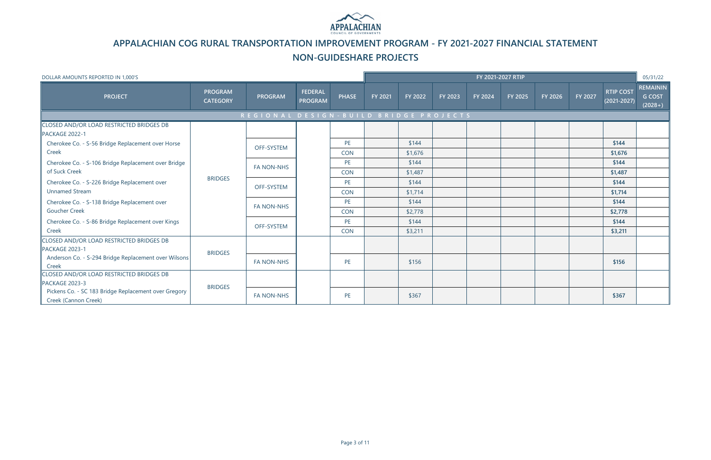| DOLLAR AMOUNTS REPORTED IN 1,000'S                                           |                                   |                                         |                                  |                         |         |                  |         |         | FY 2021-2027 RTIP |         |         |                                     | 05/31/22                                      |
|------------------------------------------------------------------------------|-----------------------------------|-----------------------------------------|----------------------------------|-------------------------|---------|------------------|---------|---------|-------------------|---------|---------|-------------------------------------|-----------------------------------------------|
| <b>PROJECT</b>                                                               | <b>PROGRAM</b><br><b>CATEGORY</b> | <b>PROGRAM</b>                          | <b>FEDERAL</b><br><b>PROGRAM</b> | <b>PHASE</b>            | FY 2021 | FY 2022          | FY 2023 | FY 2024 | FY 2025           | FY 2026 | FY 2027 | <b>RTIP COST</b><br>$(2021 - 2027)$ | <b>REMAININ</b><br><b>G COST</b><br>$(2028+)$ |
|                                                                              |                                   | REGIONAL DESIGN - BUILD BRIDGE PROJECTS |                                  |                         |         |                  |         |         |                   |         |         |                                     |                                               |
| CLOSED AND/OR LOAD RESTRICTED BRIDGES DB<br>PACKAGE 2022-1                   |                                   |                                         |                                  |                         |         |                  |         |         |                   |         |         |                                     |                                               |
| Cherokee Co. - S-56 Bridge Replacement over Horse<br>Creek                   |                                   | <b>OFF-SYSTEM</b>                       |                                  | <b>PE</b><br><b>CON</b> |         | \$144<br>\$1,676 |         |         |                   |         |         | \$144<br>\$1,676                    |                                               |
| Cherokee Co. - S-106 Bridge Replacement over Bridge                          |                                   | <b>FA NON-NHS</b>                       |                                  | PE                      |         | \$144            |         |         |                   |         |         | \$144                               |                                               |
| of Suck Creek<br>Cherokee Co. - S-226 Bridge Replacement over                | <b>BRIDGES</b>                    |                                         |                                  | <b>CON</b><br>PE        |         | \$1,487<br>\$144 |         |         |                   |         |         | \$1,487<br>\$144                    |                                               |
| <b>Unnamed Stream</b>                                                        |                                   | <b>OFF-SYSTEM</b>                       |                                  | <b>CON</b>              |         | \$1,714          |         |         |                   |         |         | \$1,714                             |                                               |
| Cherokee Co. - S-138 Bridge Replacement over                                 |                                   | <b>FA NON-NHS</b>                       |                                  | PE                      |         | \$144            |         |         |                   |         |         | \$144                               |                                               |
| <b>Goucher Creek</b>                                                         |                                   |                                         |                                  | <b>CON</b>              |         | \$2,778          |         |         |                   |         |         | \$2,778                             |                                               |
| Cherokee Co. - S-86 Bridge Replacement over Kings<br>Creek                   |                                   | OFF-SYSTEM                              |                                  | PE<br><b>CON</b>        |         | \$144<br>\$3,211 |         |         |                   |         |         | \$144<br>\$3,211                    |                                               |
| CLOSED AND/OR LOAD RESTRICTED BRIDGES DB<br>PACKAGE 2023-1                   | <b>BRIDGES</b>                    |                                         |                                  |                         |         |                  |         |         |                   |         |         |                                     |                                               |
| Anderson Co. - S-294 Bridge Replacement over Wilsons<br>Creek                |                                   | <b>FA NON-NHS</b>                       |                                  | PE                      |         | \$156            |         |         |                   |         |         | \$156                               |                                               |
| CLOSED AND/OR LOAD RESTRICTED BRIDGES DB<br>PACKAGE 2023-3                   |                                   |                                         |                                  |                         |         |                  |         |         |                   |         |         |                                     |                                               |
| Pickens Co. - SC 183 Bridge Replacement over Gregory<br>Creek (Cannon Creek) | <b>BRIDGES</b>                    | <b>FA NON-NHS</b>                       |                                  | PE                      |         | \$367            |         |         |                   |         |         | \$367                               |                                               |



# **APPALACHIAN COG RURAL TRANSPORTATION IMPROVEMENT PROGRAM - FY 2021-2027 FINANCIAL STATEMENT**

## **NON-GUIDESHARE PROJECTS**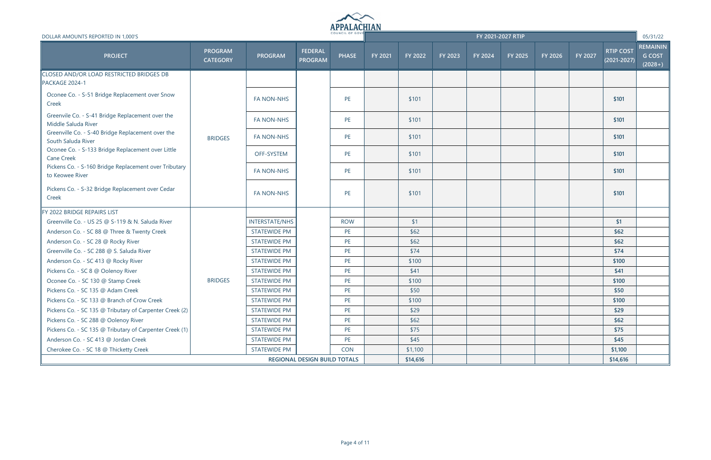

| DOLLAR AMOUNTS REPORTED IN 1,000'S                                       |                                   |                       |                                     | COUNCIL OF GOVE |         |          |         |         | FY 2021-2027 RTIP |         |         |                                     | 05/31/22                                      |
|--------------------------------------------------------------------------|-----------------------------------|-----------------------|-------------------------------------|-----------------|---------|----------|---------|---------|-------------------|---------|---------|-------------------------------------|-----------------------------------------------|
| <b>PROJECT</b>                                                           | <b>PROGRAM</b><br><b>CATEGORY</b> | <b>PROGRAM</b>        | <b>FEDERAL</b><br><b>PROGRAM</b>    | <b>PHASE</b>    | FY 2021 | FY 2022  | FY 2023 | FY 2024 | FY 2025           | FY 2026 | FY 2027 | <b>RTIP COST</b><br>$(2021 - 2027)$ | <b>REMAININ</b><br><b>G COST</b><br>$(2028+)$ |
| <b>CLOSED AND/OR LOAD RESTRICTED BRIDGES DB</b><br>PACKAGE 2024-1        |                                   |                       |                                     |                 |         |          |         |         |                   |         |         |                                     |                                               |
| Oconee Co. - S-51 Bridge Replacement over Snow<br>Creek                  |                                   | <b>FA NON-NHS</b>     |                                     | PE              |         | \$101    |         |         |                   |         |         | \$101                               |                                               |
| Greenvile Co. - S-41 Bridge Replacement over the<br>Middle Saluda River  |                                   | <b>FA NON-NHS</b>     |                                     | PE              |         | \$101    |         |         |                   |         |         | \$101                               |                                               |
| Greenville Co. - S-40 Bridge Replacement over the<br>South Saluda River  | <b>BRIDGES</b>                    | <b>FA NON-NHS</b>     |                                     | PE              |         | \$101    |         |         |                   |         |         | \$101                               |                                               |
| Oconee Co. - S-133 Bridge Replacement over Little<br><b>Cane Creek</b>   |                                   | OFF-SYSTEM            |                                     | PE              |         | \$101    |         |         |                   |         |         | \$101                               |                                               |
| Pickens Co. - S-160 Bridge Replacement over Tributary<br>to Keowee River |                                   | <b>FA NON-NHS</b>     |                                     | PE              |         | \$101    |         |         |                   |         |         | \$101                               |                                               |
| Pickens Co. - S-32 Bridge Replacement over Cedar<br>Creek                |                                   | <b>FA NON-NHS</b>     |                                     | PE              |         | \$101    |         |         |                   |         |         | \$101                               |                                               |
| FY 2022 BRIDGE REPAIRS LIST                                              |                                   |                       |                                     |                 |         |          |         |         |                   |         |         |                                     |                                               |
| Greenville Co. - US 25 @ S-119 & N. Saluda River                         |                                   | <b>INTERSTATE/NHS</b> |                                     | <b>ROW</b>      |         | \$1      |         |         |                   |         |         | \$1                                 |                                               |
| Anderson Co. - SC 88 @ Three & Twenty Creek                              |                                   | <b>STATEWIDE PM</b>   |                                     | PE              |         | \$62     |         |         |                   |         |         | \$62                                |                                               |
| Anderson Co. - SC 28 @ Rocky River                                       |                                   | <b>STATEWIDE PM</b>   |                                     | PE              |         | \$62     |         |         |                   |         |         | \$62                                |                                               |
| Greenville Co. - SC 288 @ S. Saluda River                                |                                   | <b>STATEWIDE PM</b>   |                                     | PE              |         | \$74     |         |         |                   |         |         | \$74                                |                                               |
| Anderson Co. - SC 413 @ Rocky River                                      |                                   | <b>STATEWIDE PM</b>   |                                     | PE              |         | \$100    |         |         |                   |         |         | \$100                               |                                               |
| Pickens Co. - SC 8 @ Oolenoy River                                       |                                   | <b>STATEWIDE PM</b>   |                                     | PE              |         | \$41     |         |         |                   |         |         | \$41                                |                                               |
| Oconee Co. - SC 130 @ Stamp Creek                                        | <b>BRIDGES</b>                    | <b>STATEWIDE PM</b>   |                                     | PE              |         | \$100    |         |         |                   |         |         | \$100                               |                                               |
| Pickens Co. - SC 135 @ Adam Creek                                        |                                   | <b>STATEWIDE PM</b>   |                                     | PE              |         | \$50     |         |         |                   |         |         | \$50                                |                                               |
| Pickens Co. - SC 133 @ Branch of Crow Creek                              |                                   | <b>STATEWIDE PM</b>   |                                     | PE              |         | \$100    |         |         |                   |         |         | \$100                               |                                               |
| Pickens Co. - SC 135 @ Tributary of Carpenter Creek (2)                  |                                   | <b>STATEWIDE PM</b>   |                                     | PE              |         | \$29     |         |         |                   |         |         | \$29                                |                                               |
| Pickens Co. - SC 288 @ Oolenoy River                                     |                                   | <b>STATEWIDE PM</b>   |                                     | PE              |         | \$62     |         |         |                   |         |         | \$62                                |                                               |
| Pickens Co. - SC 135 @ Tributary of Carpenter Creek (1)                  |                                   | <b>STATEWIDE PM</b>   |                                     | PE              |         | \$75     |         |         |                   |         |         | \$75                                |                                               |
| Anderson Co. - SC 413 @ Jordan Creek                                     |                                   | <b>STATEWIDE PM</b>   |                                     | PE              |         | \$45     |         |         |                   |         |         | \$45                                |                                               |
| Cherokee Co. - SC 18 @ Thicketty Creek                                   |                                   | <b>STATEWIDE PM</b>   |                                     | <b>CON</b>      |         | \$1,100  |         |         |                   |         |         | \$1,100                             |                                               |
|                                                                          |                                   |                       | <b>REGIONAL DESIGN BUILD TOTALS</b> |                 |         | \$14,616 |         |         |                   |         |         | \$14,616                            |                                               |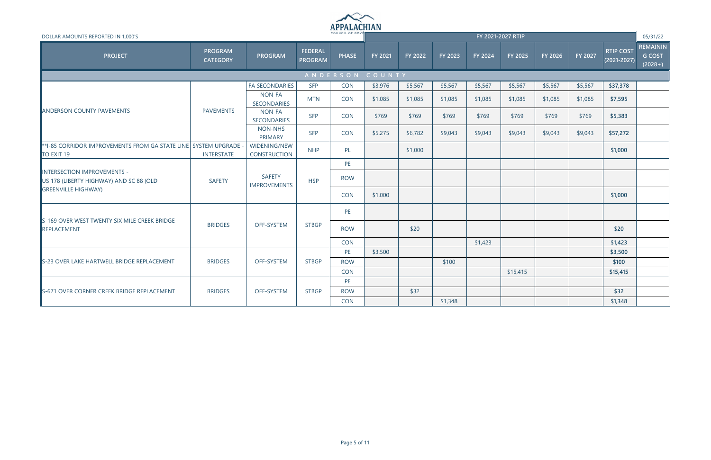

| DOLLAR AMOUNTS REPORTED IN 1,000'S                                          |                                   |                                      |                                  |                 |                |         |         |         | FY 2021-2027 RTIP |         |         |                                     | 05/31/22                                      |
|-----------------------------------------------------------------------------|-----------------------------------|--------------------------------------|----------------------------------|-----------------|----------------|---------|---------|---------|-------------------|---------|---------|-------------------------------------|-----------------------------------------------|
| <b>PROJECT</b>                                                              | <b>PROGRAM</b><br><b>CATEGORY</b> | <b>PROGRAM</b>                       | <b>FEDERAL</b><br><b>PROGRAM</b> | <b>PHASE</b>    | <b>FY 2021</b> | FY 2022 | FY 2023 | FY 2024 | FY 2025           | FY 2026 | FY 2027 | <b>RTIP COST</b><br>$(2021 - 2027)$ | <b>REMAININ</b><br><b>G COST</b><br>$(2028+)$ |
|                                                                             |                                   |                                      |                                  | ANDERSON COUNTY |                |         |         |         |                   |         |         |                                     |                                               |
|                                                                             |                                   | <b>FA SECONDARIES</b>                | <b>SFP</b>                       | <b>CON</b>      | \$3,976        | \$5,567 | \$5,567 | \$5,567 | \$5,567           | \$5,567 | \$5,567 | \$37,378                            |                                               |
|                                                                             |                                   | NON-FA<br>SECONDARIES                | <b>MTN</b>                       | <b>CON</b>      | \$1,085        | \$1,085 | \$1,085 | \$1,085 | \$1,085           | \$1,085 | \$1,085 | \$7,595                             |                                               |
| <b>ANDERSON COUNTY PAVEMENTS</b>                                            | <b>PAVEMENTS</b>                  | NON-FA<br><b>SECONDARIES</b>         | <b>SFP</b>                       | <b>CON</b>      | \$769          | \$769   | \$769   | \$769   | \$769             | \$769   | \$769   | \$5,383                             |                                               |
|                                                                             |                                   | NON-NHS<br><b>PRIMARY</b>            | <b>SFP</b>                       | <b>CON</b>      | \$5,275        | \$6,782 | \$9,043 | \$9,043 | \$9,043           | \$9,043 | \$9,043 | \$57,272                            |                                               |
| *1-85 CORRIDOR IMPROVEMENTS FROM GA STATE LINE SYSTEM UPGRADE<br>TO EXIT 19 | <b>INTERSTATE</b>                 | WIDENING/NEW<br><b>CONSTRUCTION</b>  | <b>NHP</b>                       | PL              |                | \$1,000 |         |         |                   |         |         | \$1,000                             |                                               |
|                                                                             |                                   |                                      |                                  | PE              |                |         |         |         |                   |         |         |                                     |                                               |
| INTERSECTION IMPROVEMENTS -<br>US 178 (LIBERTY HIGHWAY) AND SC 88 (OLD      | <b>SAFETY</b>                     | <b>SAFETY</b><br><b>IMPROVEMENTS</b> | <b>HSP</b>                       | <b>ROW</b>      |                |         |         |         |                   |         |         |                                     |                                               |
| <b>GREENVILLE HIGHWAY</b>                                                   |                                   |                                      |                                  | <b>CON</b>      | \$1,000        |         |         |         |                   |         |         | \$1,000                             |                                               |
| S-169 OVER WEST TWENTY SIX MILE CREEK BRIDGE                                |                                   |                                      |                                  | PE              |                |         |         |         |                   |         |         |                                     |                                               |
| REPLACEMENT                                                                 | <b>BRIDGES</b>                    | OFF-SYSTEM                           | <b>STBGP</b>                     | <b>ROW</b>      |                | \$20    |         |         |                   |         |         | \$20                                |                                               |
|                                                                             |                                   |                                      |                                  | <b>CON</b>      |                |         |         | \$1,423 |                   |         |         | \$1,423                             |                                               |
|                                                                             |                                   |                                      |                                  | PE              | \$3,500        |         |         |         |                   |         |         | \$3,500                             |                                               |
| S-23 OVER LAKE HARTWELL BRIDGE REPLACEMENT                                  | <b>BRIDGES</b>                    | <b>OFF-SYSTEM</b>                    | <b>STBGP</b>                     | <b>ROW</b>      |                |         | \$100   |         |                   |         |         | \$100                               |                                               |
|                                                                             |                                   |                                      |                                  | <b>CON</b>      |                |         |         |         | \$15,415          |         |         | \$15,415                            |                                               |
|                                                                             |                                   |                                      |                                  | PE              |                |         |         |         |                   |         |         |                                     |                                               |
| S-671 OVER CORNER CREEK BRIDGE REPLACEMENT                                  | <b>BRIDGES</b>                    | OFF-SYSTEM                           | <b>STBGP</b>                     | <b>ROW</b>      |                | \$32    |         |         |                   |         |         | \$32                                |                                               |
|                                                                             |                                   |                                      |                                  | <b>CON</b>      |                |         | \$1,348 |         |                   |         |         | \$1,348                             |                                               |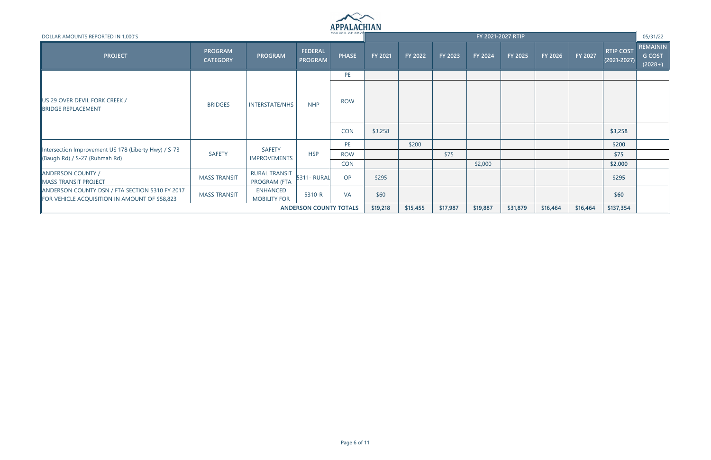

| DOLLAR AMOUNTS REPORTED IN 1,000'S                                                              |                                   |                                        |                                  | COUNCIL OF GOVE |          |          |          |          | FY 2021-2027 RTIP |           |         |                                     | 05/31/22                                      |
|-------------------------------------------------------------------------------------------------|-----------------------------------|----------------------------------------|----------------------------------|-----------------|----------|----------|----------|----------|-------------------|-----------|---------|-------------------------------------|-----------------------------------------------|
| <b>PROJECT</b>                                                                                  | <b>PROGRAM</b><br><b>CATEGORY</b> | <b>PROGRAM</b>                         | <b>FEDERAL</b><br><b>PROGRAM</b> | <b>PHASE</b>    | FY 2021  | FY 2022  | FY 2023  | FY 2024  | <b>FY 2025</b>    | FY 2026   | FY 2027 | <b>RTIP COST</b><br>$(2021 - 2027)$ | <b>REMAININ</b><br><b>G COST</b><br>$(2028+)$ |
|                                                                                                 |                                   |                                        |                                  | PE              |          |          |          |          |                   |           |         |                                     |                                               |
| US 29 OVER DEVIL FORK CREEK /<br>BRIDGE REPLACEMENT                                             | <b>BRIDGES</b>                    | <b>INTERSTATE/NHS</b>                  | <b>NHP</b>                       | <b>ROW</b>      |          |          |          |          |                   |           |         |                                     |                                               |
|                                                                                                 |                                   |                                        |                                  | <b>CON</b>      | \$3,258  |          |          |          |                   |           |         | \$3,258                             |                                               |
|                                                                                                 |                                   |                                        |                                  | PE              |          | \$200    |          |          |                   |           |         | \$200                               |                                               |
| Intersection Improvement US 178 (Liberty Hwy) / S-73<br>(Baugh Rd) / S-27 (Ruhmah Rd)           | <b>SAFETY</b>                     | <b>SAFETY</b><br><b>IMPROVEMENTS</b>   | <b>HSP</b>                       | <b>ROW</b>      |          |          | \$75     |          |                   |           |         | \$75                                |                                               |
|                                                                                                 |                                   |                                        |                                  | <b>CON</b>      |          |          |          | \$2,000  |                   |           |         | \$2,000                             |                                               |
| <b>ANDERSON COUNTY /</b><br><b>MASS TRANSIT PROJECT</b>                                         | <b>MASS TRANSIT</b>               | <b>RURAL TRANSIT</b><br>PROGRAM (FTA   | 5311- RURAL                      | OP              | \$295    |          |          |          |                   |           |         | \$295                               |                                               |
| ANDERSON COUNTY DSN / FTA SECTION 5310 FY 2017<br>FOR VEHICLE ACQUISITION IN AMOUNT OF \$58,823 | <b>MASS TRANSIT</b>               | <b>ENHANCED</b><br><b>MOBILITY FOR</b> | 5310-R                           | <b>VA</b>       | \$60     |          |          |          |                   |           |         | \$60                                |                                               |
|                                                                                                 |                                   | <b>ANDERSON COUNTY TOTALS</b>          | \$19,218                         | \$15,455        | \$17,987 | \$19,887 | \$31,879 | \$16,464 | \$16,464          | \$137,354 |         |                                     |                                               |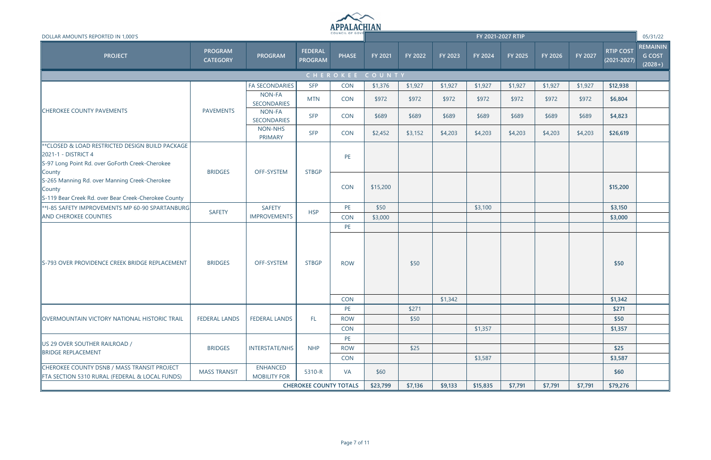

| DOLLAR AMOUNTS REPORTED IN 1,000'S                                                                                         |                                   |                                        |                                  | COUNCIL OF GOVE  |                 |         |         |          | FY 2021-2027 RTIP |         |         |                                     | 05/31/22                                      |
|----------------------------------------------------------------------------------------------------------------------------|-----------------------------------|----------------------------------------|----------------------------------|------------------|-----------------|---------|---------|----------|-------------------|---------|---------|-------------------------------------|-----------------------------------------------|
| <b>PROJECT</b>                                                                                                             | <b>PROGRAM</b><br><b>CATEGORY</b> | <b>PROGRAM</b>                         | <b>FEDERAL</b><br><b>PROGRAM</b> | <b>PHASE</b>     | FY 2021         | FY 2022 | FY 2023 | FY 2024  | FY 2025           | FY 2026 | FY 2027 | <b>RTIP COST</b><br>$(2021 - 2027)$ | <b>REMAININ</b><br><b>G COST</b><br>$(2028+)$ |
|                                                                                                                            |                                   |                                        |                                  |                  | CHEROKEE COUNTY |         |         |          |                   |         |         |                                     |                                               |
|                                                                                                                            |                                   | <b>FA SECONDARIES</b>                  | <b>SFP</b>                       | <b>CON</b>       | \$1,376         | \$1,927 | \$1,927 | \$1,927  | \$1,927           | \$1,927 | \$1,927 | \$12,938                            |                                               |
|                                                                                                                            |                                   | NON-FA<br>SECONDARIES                  | <b>MTN</b>                       | <b>CON</b>       | \$972           | \$972   | \$972   | \$972    | \$972             | \$972   | \$972   | \$6,804                             |                                               |
| <b>CHEROKEE COUNTY PAVEMENTS</b>                                                                                           | <b>PAVEMENTS</b>                  | NON-FA<br>SECONDARIES                  | <b>SFP</b>                       | <b>CON</b>       | \$689           | \$689   | \$689   | \$689    | \$689             | \$689   | \$689   | \$4,823                             |                                               |
|                                                                                                                            |                                   | NON-NHS<br>PRIMARY                     | <b>SFP</b>                       | <b>CON</b>       | \$2,452         | \$3,152 | \$4,203 | \$4,203  | \$4,203           | \$4,203 | \$4,203 | \$26,619                            |                                               |
| ** CLOSED & LOAD RESTRICTED DESIGN BUILD PACKAGE<br>2021-1 - DISTRICT 4<br>S-97 Long Point Rd. over GoForth Creek-Cherokee | <b>BRIDGES</b>                    | OFF-SYSTEM                             | <b>STBGP</b>                     | PE               |                 |         |         |          |                   |         |         |                                     |                                               |
| County<br>S-265 Manning Rd. over Manning Creek-Cherokee<br>County<br>S-119 Bear Creek Rd. over Bear Creek-Cherokee County  |                                   |                                        |                                  | CON              | \$15,200        |         |         |          |                   |         |         | \$15,200                            |                                               |
| **I-85 SAFETY IMPROVEMENTS MP 60-90 SPARTANBURG                                                                            | <b>SAFETY</b>                     | <b>SAFETY</b>                          | <b>HSP</b>                       | PE               | \$50            |         |         | \$3,100  |                   |         |         | \$3,150                             |                                               |
| AND CHEROKEE COUNTIES                                                                                                      |                                   | <b>IMPROVEMENTS</b>                    |                                  | <b>CON</b>       | \$3,000         |         |         |          |                   |         |         | \$3,000                             |                                               |
| S-793 OVER PROVIDENCE CREEK BRIDGE REPLACEMENT                                                                             | <b>BRIDGES</b>                    | OFF-SYSTEM                             | <b>STBGP</b>                     | PE<br><b>ROW</b> |                 | \$50    |         |          |                   |         |         | \$50                                |                                               |
|                                                                                                                            |                                   |                                        |                                  | <b>CON</b>       |                 |         | \$1,342 |          |                   |         |         | \$1,342                             |                                               |
|                                                                                                                            |                                   |                                        |                                  | PE               |                 | \$271   |         |          |                   |         |         | \$271                               |                                               |
| <b>OVERMOUNTAIN VICTORY NATIONAL HISTORIC TRAIL</b>                                                                        | <b>FEDERAL LANDS</b>              | <b>FEDERAL LANDS</b>                   | FL.                              | <b>ROW</b>       |                 | \$50    |         |          |                   |         |         | \$50                                |                                               |
|                                                                                                                            |                                   |                                        |                                  | <b>CON</b>       |                 |         |         | \$1,357  |                   |         |         | \$1,357                             |                                               |
| US 29 OVER SOUTHER RAILROAD /<br><b>BRIDGE REPLACEMENT</b>                                                                 | <b>BRIDGES</b>                    | <b>INTERSTATE/NHS</b>                  | <b>NHP</b>                       | PE<br><b>ROW</b> |                 | \$25    |         |          |                   |         |         | \$25                                |                                               |
| CHEROKEE COUNTY DSNB / MASS TRANSIT PROJECT<br>FTA SECTION 5310 RURAL (FEDERAL & LOCAL FUNDS)                              | <b>MASS TRANSIT</b>               | <b>ENHANCED</b><br><b>MOBILITY FOR</b> | 5310-R                           | <b>CON</b><br>VA | \$60            |         |         | \$3,587  |                   |         |         | \$3,587<br>\$60                     |                                               |
|                                                                                                                            |                                   |                                        | <b>CHEROKEE COUNTY TOTALS</b>    |                  | \$23,799        | \$7,136 | \$9,133 | \$15,835 | \$7,791           | \$7,791 | \$7,791 | \$79,276                            |                                               |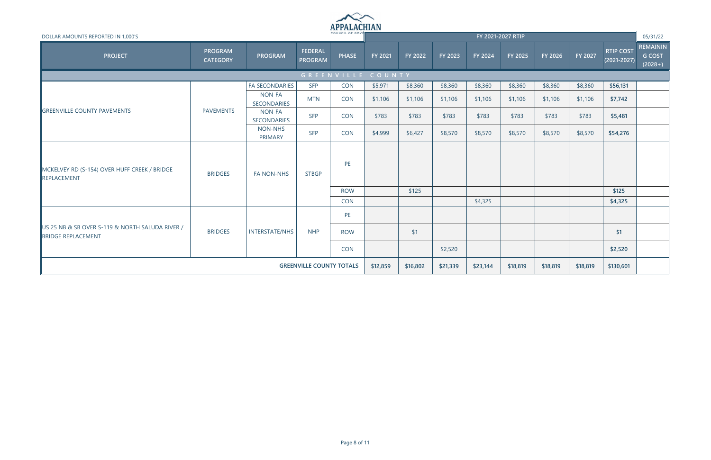

| DOLLAR AMOUNTS REPORTED IN 1,000'S                                    |                                   |                              |                                  | COUNCIL OF GOVE   |          |          |          | FY 2021-2027 RTIP |                |          |          |                                     | 05/31/22                                      |
|-----------------------------------------------------------------------|-----------------------------------|------------------------------|----------------------------------|-------------------|----------|----------|----------|-------------------|----------------|----------|----------|-------------------------------------|-----------------------------------------------|
| <b>PROJECT</b>                                                        | <b>PROGRAM</b><br><b>CATEGORY</b> | <b>PROGRAM</b>               | <b>FEDERAL</b><br><b>PROGRAM</b> | <b>PHASE</b>      | FY 2021  | FY 2022  | FY 2023  | FY 2024           | <b>FY 2025</b> | FY 2026  | FY 2027  | <b>RTIP COST</b><br>$(2021 - 2027)$ | <b>REMAININ</b><br><b>G COST</b><br>$(2028+)$ |
|                                                                       |                                   |                              |                                  | GREENVILLE COUNTY |          |          |          |                   |                |          |          |                                     |                                               |
|                                                                       |                                   | <b>FA SECONDARIES</b>        | <b>SFP</b>                       | <b>CON</b>        | \$5,971  | \$8,360  | \$8,360  | \$8,360           | \$8,360        | \$8,360  | \$8,360  | \$56,131                            |                                               |
|                                                                       |                                   | NON-FA<br><b>SECONDARIES</b> | <b>MTN</b>                       | <b>CON</b>        | \$1,106  | \$1,106  | \$1,106  | \$1,106           | \$1,106        | \$1,106  | \$1,106  | \$7,742                             |                                               |
| <b>GREENVILLE COUNTY PAVEMENTS</b>                                    | <b>PAVEMENTS</b>                  | NON-FA<br><b>SECONDARIES</b> | <b>SFP</b>                       | <b>CON</b>        | \$783    | \$783    | \$783    | \$783             | \$783          | \$783    | \$783    | \$5,481                             |                                               |
|                                                                       |                                   | <b>NON-NHS</b><br>PRIMARY    | <b>SFP</b>                       | <b>CON</b>        | \$4,999  | \$6,427  | \$8,570  | \$8,570           | \$8,570        | \$8,570  | \$8,570  | \$54,276                            |                                               |
| MCKELVEY RD (S-154) OVER HUFF CREEK / BRIDGE<br>REPLACEMENT           | <b>BRIDGES</b>                    | <b>FA NON-NHS</b>            | <b>STBGP</b>                     | PE                |          |          |          |                   |                |          |          |                                     |                                               |
|                                                                       |                                   |                              |                                  | <b>ROW</b>        |          | \$125    |          |                   |                |          |          | \$125                               |                                               |
|                                                                       |                                   |                              |                                  | <b>CON</b>        |          |          |          | \$4,325           |                |          |          | \$4,325                             |                                               |
|                                                                       |                                   |                              |                                  | PE                |          |          |          |                   |                |          |          |                                     |                                               |
| US 25 NB & SB OVER S-119 & NORTH SALUDA RIVER /<br>BRIDGE REPLACEMENT | <b>BRIDGES</b>                    | <b>INTERSTATE/NHS</b>        | <b>NHP</b>                       | <b>ROW</b>        |          | \$1      |          |                   |                |          |          | \$1                                 |                                               |
|                                                                       |                                   |                              |                                  | CON               |          |          | \$2,520  |                   |                |          |          | \$2,520                             |                                               |
|                                                                       |                                   |                              | <b>GREENVILLE COUNTY TOTALS</b>  |                   | \$12,859 | \$16,802 | \$21,339 | \$23,144          | \$18,819       | \$18,819 | \$18,819 | \$130,601                           |                                               |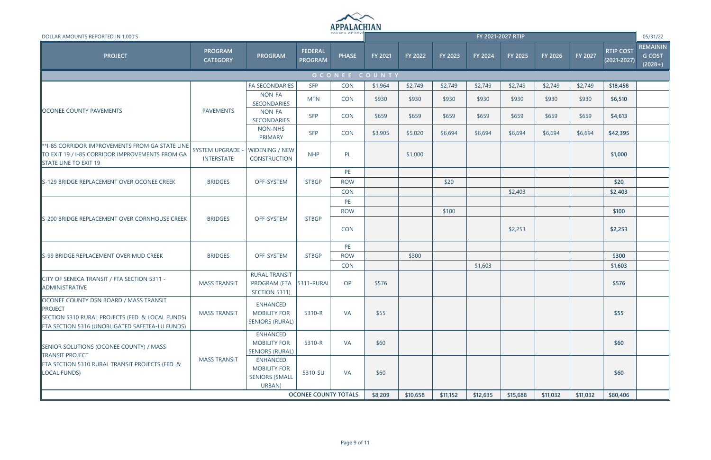

| DOLLAR AMOUNTS REPORTED IN 1,000'S                                                                                                                              |                                              |                                                                           |                                  |              |               |          |          |          | FY 2021-2027 RTIP |          |                |                                     | 05/31/22                                      |
|-----------------------------------------------------------------------------------------------------------------------------------------------------------------|----------------------------------------------|---------------------------------------------------------------------------|----------------------------------|--------------|---------------|----------|----------|----------|-------------------|----------|----------------|-------------------------------------|-----------------------------------------------|
| <b>PROJECT</b>                                                                                                                                                  | <b>PROGRAM</b><br><b>CATEGORY</b>            | PROGRAM                                                                   | <b>FEDERAL</b><br><b>PROGRAM</b> | <b>PHASE</b> | FY 2021       | FY 2022  | FY 2023  | FY 2024  | FY 2025           | FY 2026  | <b>FY 2027</b> | <b>RTIP COST</b><br>$(2021 - 2027)$ | <b>REMAININ</b><br><b>G COST</b><br>$(2028+)$ |
|                                                                                                                                                                 |                                              |                                                                           |                                  |              | OCONEE COUNTY |          |          |          |                   |          |                |                                     |                                               |
|                                                                                                                                                                 |                                              | <b>FA SECONDARIES</b>                                                     | <b>SFP</b>                       | <b>CON</b>   | \$1,964       | \$2,749  | \$2,749  | \$2,749  | \$2,749           | \$2,749  | \$2,749        | \$18,458                            |                                               |
|                                                                                                                                                                 |                                              | NON-FA<br><b>SECONDARIES</b>                                              | <b>MTN</b>                       | <b>CON</b>   | \$930         | \$930    | \$930    | \$930    | \$930             | \$930    | \$930          | \$6,510                             |                                               |
| <b>OCONEE COUNTY PAVEMENTS</b>                                                                                                                                  | <b>PAVEMENTS</b>                             | NON-FA<br><b>SECONDARIES</b>                                              | <b>SFP</b>                       | <b>CON</b>   | \$659         | \$659    | \$659    | \$659    | \$659             | \$659    | \$659          | \$4,613                             |                                               |
|                                                                                                                                                                 |                                              | NON-NHS<br>PRIMARY                                                        | <b>SFP</b>                       | <b>CON</b>   | \$3,905       | \$5,020  | \$6,694  | \$6,694  | \$6,694           | \$6,694  | \$6,694        | \$42,395                            |                                               |
| **I-85 CORRIDOR IMPROVEMENTS FROM GA STATE LINE<br>TO EXIT 19 / I-85 CORRIDOR IMPROVEMENTS FROM GA<br>STATE LINE TO EXIT 19                                     | <b>SYSTEM UPGRADE -</b><br><b>INTERSTATE</b> | WIDENING / NEW<br><b>CONSTRUCTION</b>                                     | <b>NHP</b>                       | PL           |               | \$1,000  |          |          |                   |          |                | \$1,000                             |                                               |
|                                                                                                                                                                 |                                              |                                                                           |                                  | PE           |               |          |          |          |                   |          |                |                                     |                                               |
| S-129 BRIDGE REPLACEMENT OVER OCONEE CREEK                                                                                                                      | <b>BRIDGES</b>                               | OFF-SYSTEM                                                                | <b>STBGP</b>                     | <b>ROW</b>   |               |          | \$20     |          |                   |          |                | \$20                                |                                               |
|                                                                                                                                                                 |                                              |                                                                           |                                  | <b>CON</b>   |               |          |          |          | \$2,403           |          |                | \$2,403                             |                                               |
|                                                                                                                                                                 |                                              |                                                                           |                                  | PE           |               |          |          |          |                   |          |                |                                     |                                               |
|                                                                                                                                                                 |                                              |                                                                           |                                  | <b>ROW</b>   |               |          | \$100    |          |                   |          |                | \$100                               |                                               |
| S-200 BRIDGE REPLACEMENT OVER CORNHOUSE CREEK                                                                                                                   | <b>BRIDGES</b>                               | OFF-SYSTEM                                                                | <b>STBGP</b>                     | <b>CON</b>   |               |          |          |          | \$2,253           |          |                | \$2,253                             |                                               |
|                                                                                                                                                                 |                                              |                                                                           |                                  | PE           |               |          |          |          |                   |          |                |                                     |                                               |
| S-99 BRIDGE REPLACEMENT OVER MUD CREEK                                                                                                                          | <b>BRIDGES</b>                               | OFF-SYSTEM                                                                | <b>STBGP</b>                     | <b>ROW</b>   |               | \$300    |          |          |                   |          |                | \$300                               |                                               |
|                                                                                                                                                                 |                                              |                                                                           |                                  | <b>CON</b>   |               |          |          | \$1,603  |                   |          |                | \$1,603                             |                                               |
| CITY OF SENECA TRANSIT / FTA SECTION 5311 -<br>ADMINISTRATIVE                                                                                                   | <b>MASS TRANSIT</b>                          | <b>RURAL TRANSIT</b><br>PROGRAM (FTA 5311-RURAL<br>SECTION 5311)          |                                  | OP           | \$576         |          |          |          |                   |          |                | \$576                               |                                               |
| OCONEE COUNTY DSN BOARD / MASS TRANSIT<br><b>PROJECT</b><br>SECTION 5310 RURAL PROJECTS (FED. & LOCAL FUNDS)<br>FTA SECTION 5316 (UNOBLIGATED SAFETEA-LU FUNDS) | <b>MASS TRANSIT</b>                          | <b>ENHANCED</b><br><b>MOBILITY FOR</b><br><b>SENIORS (RURAL)</b>          | 5310-R                           | <b>VA</b>    | \$55          |          |          |          |                   |          |                | \$55                                |                                               |
| <b>SENIOR SOLUTIONS (OCONEE COUNTY) / MASS</b><br><b>TRANSIT PROJECT</b>                                                                                        |                                              | <b>ENHANCED</b><br><b>MOBILITY FOR</b><br><b>SENIORS (RURAL)</b>          | 5310-R                           | <b>VA</b>    | \$60          |          |          |          |                   |          |                | \$60                                |                                               |
| FTA SECTION 5310 RURAL TRANSIT PROJECTS (FED. &<br><b>LOCAL FUNDS)</b>                                                                                          | <b>MASS TRANSIT</b>                          | <b>ENHANCED</b><br><b>MOBILITY FOR</b><br><b>SENIORS (SMALL</b><br>URBAN) | 5310-SU                          | <b>VA</b>    | \$60          |          |          |          |                   |          |                | \$60                                |                                               |
|                                                                                                                                                                 |                                              |                                                                           | <b>OCONEE COUNTY TOTALS</b>      |              | \$8,209       | \$10,658 | \$11,152 | \$12,635 | \$15,688          | \$11,032 | \$11,032       | \$80,406                            |                                               |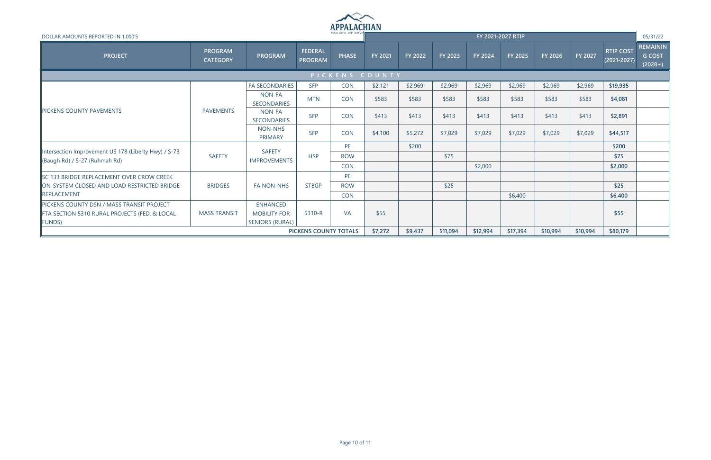

| DOLLAR AMOUNTS REPORTED IN 1,000'S                                                    | COUNCIL OF GOVE                                 |                                      |                                  |              |         |                |                |                | FY 2021-2027 RTIP |          |          |                                     | 05/31/22                                      |
|---------------------------------------------------------------------------------------|-------------------------------------------------|--------------------------------------|----------------------------------|--------------|---------|----------------|----------------|----------------|-------------------|----------|----------|-------------------------------------|-----------------------------------------------|
| <b>PROJECT</b>                                                                        | <b>PROGRAM</b><br><b>CATEGORY</b>               | <b>PROGRAM</b>                       | <b>FEDERAL</b><br><b>PROGRAM</b> | <b>PHASE</b> | FY 2021 | <b>FY 2022</b> | <b>FY 2023</b> | <b>FY 2024</b> | FY 2025           | FY 2026  | FY 2027  | <b>RTIP COST</b><br>$(2021 - 2027)$ | <b>REMAININ</b><br><b>G COST</b><br>$(2028+)$ |
|                                                                                       |                                                 |                                      |                                  | PICKENS      | COUNTY  |                |                |                |                   |          |          |                                     |                                               |
|                                                                                       |                                                 | <b>FA SECONDARIES</b>                | <b>SFP</b>                       | <b>CON</b>   | \$2,121 | \$2,969        | \$2,969        | \$2,969        | \$2,969           | \$2,969  | \$2,969  | \$19,935                            |                                               |
|                                                                                       |                                                 | NON-FA<br><b>SECONDARIES</b>         | <b>MTN</b>                       | <b>CON</b>   | \$583   | \$583          | \$583          | \$583          | \$583             | \$583    | \$583    | \$4,081                             |                                               |
| <b>PICKENS COUNTY PAVEMENTS</b>                                                       | <b>PAVEMENTS</b>                                | NON-FA<br><b>SECONDARIES</b>         | <b>SFP</b>                       | <b>CON</b>   | \$413   | \$413          | \$413          | \$413          | \$413             | \$413    | \$413    | \$2,891                             |                                               |
|                                                                                       |                                                 | <b>NON-NHS</b><br>PRIMARY            | <b>SFP</b>                       | <b>CON</b>   | \$4,100 | \$5,272        | \$7,029        | \$7,029        | \$7,029           | \$7,029  | \$7,029  | \$44,517                            |                                               |
|                                                                                       |                                                 |                                      |                                  | PE.          |         | \$200          |                |                |                   |          |          | \$200                               |                                               |
| Intersection Improvement US 178 (Liberty Hwy) / S-73<br>(Baugh Rd) / S-27 (Ruhmah Rd) | <b>SAFETY</b>                                   | <b>SAFETY</b><br><b>IMPROVEMENTS</b> | <b>HSP</b>                       | <b>ROW</b>   |         |                | \$75           |                |                   |          |          | \$75                                |                                               |
|                                                                                       |                                                 |                                      |                                  | <b>CON</b>   |         |                |                | \$2,000        |                   |          |          | \$2,000                             |                                               |
| SC 133 BRIDGE REPLACEMENT OVER CROW CREEK                                             |                                                 |                                      |                                  | <b>PE</b>    |         |                |                |                |                   |          |          |                                     |                                               |
| ON-SYSTEM CLOSED AND LOAD RESTRICTED BRIDGE                                           | <b>BRIDGES</b>                                  | <b>FA NON-NHS</b>                    | <b>STBGP</b>                     | <b>ROW</b>   |         |                | \$25           |                |                   |          |          | \$25                                |                                               |
| REPLACEMENT                                                                           |                                                 |                                      |                                  | <b>CON</b>   |         |                |                |                | \$6,400           |          |          | \$6,400                             |                                               |
| PICKENS COUNTY DSN / MASS TRANSIT PROJECT                                             |                                                 | <b>ENHANCED</b>                      |                                  |              |         |                |                |                |                   |          |          |                                     |                                               |
| FTA SECTION 5310 RURAL PROJECTS (FED. & LOCAL                                         | <b>MASS TRANSIT</b>                             | <b>MOBILITY FOR</b>                  | 5310-R                           | <b>VA</b>    | \$55    |                |                |                |                   |          |          | \$55                                |                                               |
| FUNDS)                                                                                |                                                 |                                      |                                  |              |         |                |                |                |                   |          |          |                                     |                                               |
|                                                                                       | <b>SENIORS (RURAL)</b><br>PICKENS COUNTY TOTALS |                                      |                                  |              |         |                |                | \$12,994       | \$17,394          | \$10,994 | \$10,994 | \$80,179                            |                                               |